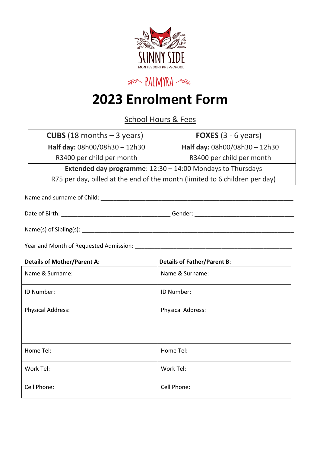

## **pALMYRA**

## **2023 Enrolment Form**

School Hours & Fees

| <b>CUBS</b> (18 months $-$ 3 years)                                                                            | <b>FOXES</b> $(3 - 6$ years)       |  |  |  |
|----------------------------------------------------------------------------------------------------------------|------------------------------------|--|--|--|
| Half day: 08h00/08h30 - 12h30                                                                                  | Half day: 08h00/08h30 - 12h30      |  |  |  |
| R3400 per child per month                                                                                      | R3400 per child per month          |  |  |  |
| <b>Extended day programme:</b> $12:30 - 14:00$ Mondays to Thursdays                                            |                                    |  |  |  |
| R75 per day, billed at the end of the month (limited to 6 children per day)                                    |                                    |  |  |  |
|                                                                                                                |                                    |  |  |  |
|                                                                                                                |                                    |  |  |  |
|                                                                                                                |                                    |  |  |  |
| Year and Month of Requested Admission: Name of the Month of Regular Structure of Name of The Month Structure o |                                    |  |  |  |
| <b>Details of Mother/Parent A:</b>                                                                             | <b>Details of Father/Parent B:</b> |  |  |  |
| Name & Surname:                                                                                                | Name & Surname:                    |  |  |  |
| ID Number:                                                                                                     | ID Number:                         |  |  |  |
| <b>Physical Address:</b>                                                                                       | <b>Physical Address:</b>           |  |  |  |
|                                                                                                                |                                    |  |  |  |
| Home Tel:                                                                                                      | Home Tel:                          |  |  |  |
| Work Tel:                                                                                                      | Work Tel:                          |  |  |  |
| Cell Phone:                                                                                                    | Cell Phone:                        |  |  |  |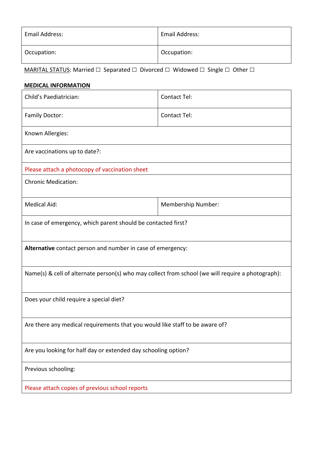| Email Address: | <b>Email Address:</b> |
|----------------|-----------------------|
| Occupation:    | Occupation:           |

MARITAL STATUS: Married □ Separated □ Divorced □ Widowed □ Single □ Other □

## **MEDICAL INFORMATION**

| Child's Paediatrician:                                                                            | <b>Contact Tel:</b> |  |  |  |
|---------------------------------------------------------------------------------------------------|---------------------|--|--|--|
| <b>Family Doctor:</b>                                                                             | Contact Tel:        |  |  |  |
| Known Allergies:                                                                                  |                     |  |  |  |
| Are vaccinations up to date?:                                                                     |                     |  |  |  |
| Please attach a photocopy of vaccination sheet                                                    |                     |  |  |  |
| <b>Chronic Medication:</b>                                                                        |                     |  |  |  |
| <b>Medical Aid:</b>                                                                               | Membership Number:  |  |  |  |
| In case of emergency, which parent should be contacted first?                                     |                     |  |  |  |
| Alternative contact person and number in case of emergency:                                       |                     |  |  |  |
| Name(s) & cell of alternate person(s) who may collect from school (we will require a photograph): |                     |  |  |  |
| Does your child require a special diet?                                                           |                     |  |  |  |
| Are there any medical requirements that you would like staff to be aware of?                      |                     |  |  |  |
| Are you looking for half day or extended day schooling option?                                    |                     |  |  |  |
| Previous schooling:                                                                               |                     |  |  |  |
| Please attach copies of previous school reports                                                   |                     |  |  |  |